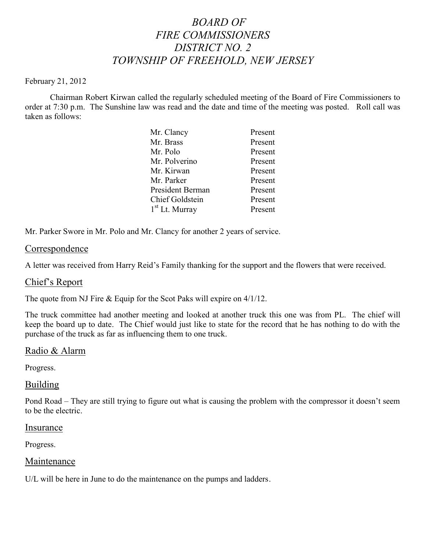# *BOARD OF FIRE COMMISSIONERS DISTRICT NO. 2 TOWNSHIP OF FREEHOLD, NEW JERSEY*

#### February 21, 2012

Chairman Robert Kirwan called the regularly scheduled meeting of the Board of Fire Commissioners to order at 7:30 p.m. The Sunshine law was read and the date and time of the meeting was posted. Roll call was taken as follows:

| Mr. Clancy                 | Present |
|----------------------------|---------|
| Mr. Brass                  | Present |
| Mr. Polo                   | Present |
| Mr. Polverino              | Present |
| Mr. Kirwan                 | Present |
| Mr. Parker                 | Present |
| President Berman           | Present |
| <b>Chief Goldstein</b>     | Present |
| 1 <sup>st</sup> Lt. Murray | Present |

Mr. Parker Swore in Mr. Polo and Mr. Clancy for another 2 years of service.

### **Correspondence**

A letter was received from Harry Reid's Family thanking for the support and the flowers that were received.

# Chief's Report

The quote from NJ Fire & Equip for the Scot Paks will expire on  $4/1/12$ .

The truck committee had another meeting and looked at another truck this one was from PL. The chief will keep the board up to date. The Chief would just like to state for the record that he has nothing to do with the purchase of the truck as far as influencing them to one truck.

#### Radio & Alarm

Progress.

#### Building

Pond Road – They are still trying to figure out what is causing the problem with the compressor it doesn't seem to be the electric.

#### **Insurance**

Progress.

#### Maintenance

U/L will be here in June to do the maintenance on the pumps and ladders.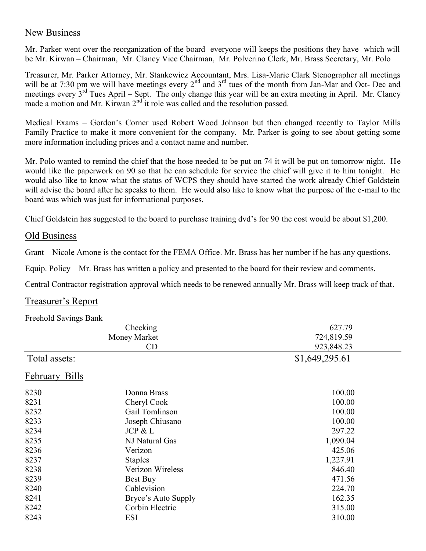## New Business

Mr. Parker went over the reorganization of the board everyone will keeps the positions they have which will be Mr. Kirwan – Chairman, Mr. Clancy Vice Chairman, Mr. Polverino Clerk, Mr. Brass Secretary, Mr. Polo

Treasurer, Mr. Parker Attorney, Mr. Stankewicz Accountant, Mrs. Lisa-Marie Clark Stenographer all meetings will be at 7:30 pm we will have meetings every  $2^{nd}$  and  $3^{rd}$  tues of the month from Jan-Mar and Oct- Dec and meetings every 3rd Tues April – Sept. The only change this year will be an extra meeting in April. Mr. Clancy made a motion and Mr. Kirwan  $2<sup>nd</sup>$  it role was called and the resolution passed.

Medical Exams – Gordon's Corner used Robert Wood Johnson but then changed recently to Taylor Mills Family Practice to make it more convenient for the company. Mr. Parker is going to see about getting some more information including prices and a contact name and number.

Mr. Polo wanted to remind the chief that the hose needed to be put on 74 it will be put on tomorrow night. He would like the paperwork on 90 so that he can schedule for service the chief will give it to him tonight. He would also like to know what the status of WCPS they should have started the work already Chief Goldstein will advise the board after he speaks to them. He would also like to know what the purpose of the e-mail to the board was which was just for informational purposes.

Chief Goldstein has suggested to the board to purchase training dvd's for 90 the cost would be about \$1,200.

#### Old Business

Grant – Nicole Amone is the contact for the FEMA Office. Mr. Brass has her number if he has any questions.

Equip. Policy – Mr. Brass has written a policy and presented to the board for their review and comments.

Central Contractor registration approval which needs to be renewed annually Mr. Brass will keep track of that.

#### Treasurer's Report

Freehold Savings Bank

|                | Checking            | 627.79         |
|----------------|---------------------|----------------|
|                | Money Market        | 724,819.59     |
|                | <b>CD</b>           | 923,848.23     |
| Total assets:  |                     | \$1,649,295.61 |
| February Bills |                     |                |
| 8230           | Donna Brass         | 100.00         |
| 8231           | Cheryl Cook         | 100.00         |
| 8232           | Gail Tomlinson      | 100.00         |
| 8233           | Joseph Chiusano     | 100.00         |
| 8234           | JCP & L             | 297.22         |
| 8235           | NJ Natural Gas      | 1,090.04       |
| 8236           | Verizon             | 425.06         |
| 8237           | <b>Staples</b>      | 1,227.91       |
| 8238           | Verizon Wireless    | 846.40         |
| 8239           | Best Buy            | 471.56         |
| 8240           | Cablevision         | 224.70         |
| 8241           | Bryce's Auto Supply | 162.35         |
| 8242           | Corbin Electric     | 315.00         |
| 8243           | ESI                 | 310.00         |